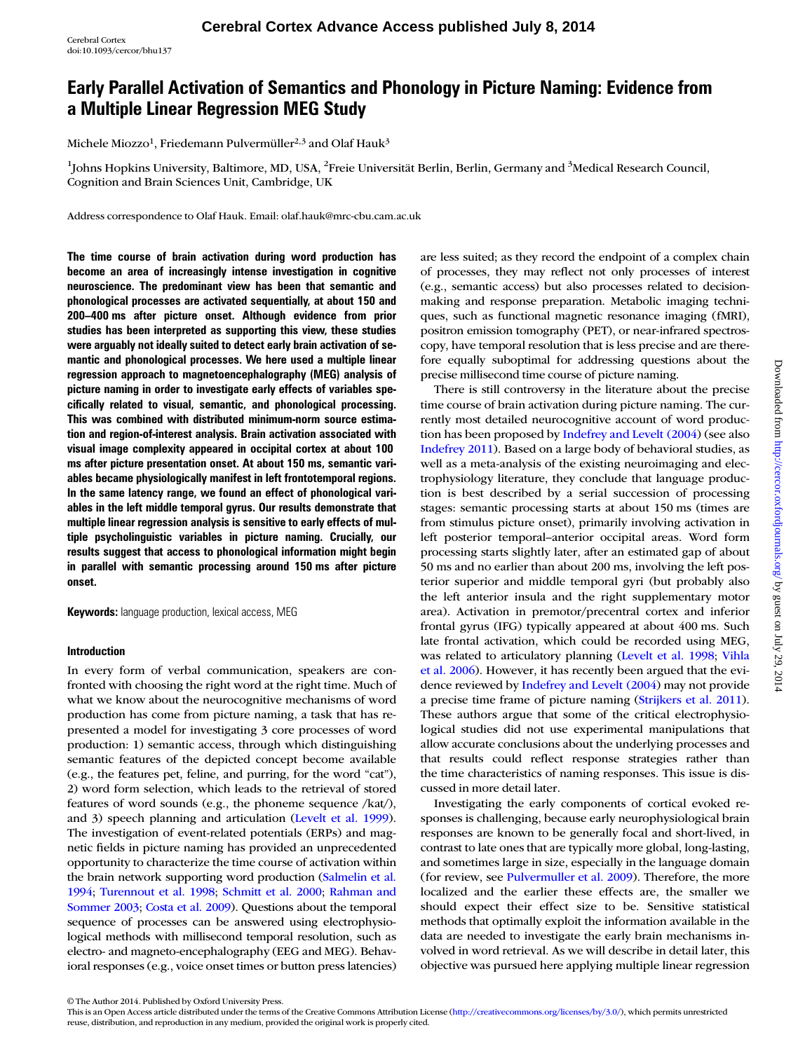# Early Parallel Activation of Semantics and Phonology in Picture Naming: Evidence from a Multiple Linear Regression MEG Study

Michele Miozzo<sup>1</sup>, Friedemann Pulvermüller<sup>2,3</sup> and Olaf Hauk<sup>3</sup>

 $^1$ Johns Hopkins University, Baltimore, MD, USA,  $^2$ Freie Universität Berlin, Berlin, Germany and  $^3$ Medical Research Council, Cognition and Brain Sciences Unit, Cambridge, UK

Address correspondence to Olaf Hauk. Email: olaf.hauk@mrc-cbu.cam.ac.uk

The time course of brain activation during word production has become an area of increasingly intense investigation in cognitive neuroscience. The predominant view has been that semantic and phonological processes are activated sequentially, at about 150 and 200–400 ms after picture onset. Although evidence from prior studies has been interpreted as supporting this view, these studies were arguably not ideally suited to detect early brain activation of semantic and phonological processes. We here used a multiple linear regression approach to magnetoencephalography (MEG) analysis of picture naming in order to investigate early effects of variables specifically related to visual, semantic, and phonological processing. This was combined with distributed minimum-norm source estimation and region-of-interest analysis. Brain activation associated with visual image complexity appeared in occipital cortex at about 100 ms after picture presentation onset. At about 150 ms, semantic variables became physiologically manifest in left frontotemporal regions. In the same latency range, we found an effect of phonological variables in the left middle temporal gyrus. Our results demonstrate that multiple linear regression analysis is sensitive to early effects of multiple psycholinguistic variables in picture naming. Crucially, our results suggest that access to phonological information might begin in parallel with semantic processing around 150 ms after picture onset.

Keywords: language production, lexical access, MEG

#### Introduction

In every form of verbal communication, speakers are confronted with choosing the right word at the right time. Much of what we know about the neurocognitive mechanisms of word production has come from picture naming, a task that has represented a model for investigating 3 core processes of word production: 1) semantic access, through which distinguishing semantic features of the depicted concept become available (e.g., the features pet, feline, and purring, for the word "cat"), 2) word form selection, which leads to the retrieval of stored features of word sounds (e.g., the phoneme sequence /kat/), and 3) speech planning and articulation ([Levelt et al. 1999](#page-11-0)). The investigation of event-related potentials (ERPs) and magnetic fields in picture naming has provided an unprecedented opportunity to characterize the time course of activation within the brain network supporting word production [\(Salmelin et al.](#page-12-0) [1994;](#page-12-0) [Turennout et al. 1998;](#page-12-0) [Schmitt et al. 2000](#page-12-0); [Rahman and](#page-11-0) [Sommer 2003;](#page-11-0) [Costa et al. 2009\)](#page-10-0). Questions about the temporal sequence of processes can be answered using electrophysiological methods with millisecond temporal resolution, such as electro- and magneto-encephalography (EEG and MEG). Behavioral responses (e.g., voice onset times or button press latencies)

are less suited; as they record the endpoint of a complex chain of processes, they may reflect not only processes of interest (e.g., semantic access) but also processes related to decisionmaking and response preparation. Metabolic imaging techniques, such as functional magnetic resonance imaging (fMRI), positron emission tomography (PET), or near-infrared spectroscopy, have temporal resolution that is less precise and are therefore equally suboptimal for addressing questions about the precise millisecond time course of picture naming.

There is still controversy in the literature about the precise time course of brain activation during picture naming. The currently most detailed neurocognitive account of word production has been proposed by [Indefrey and Levelt \(2004\)](#page-11-0) (see also [Indefrey 2011](#page-11-0)). Based on a large body of behavioral studies, as well as a meta-analysis of the existing neuroimaging and electrophysiology literature, they conclude that language production is best described by a serial succession of processing stages: semantic processing starts at about 150 ms (times are from stimulus picture onset), primarily involving activation in left posterior temporal–anterior occipital areas. Word form processing starts slightly later, after an estimated gap of about 50 ms and no earlier than about 200 ms, involving the left posterior superior and middle temporal gyri (but probably also the left anterior insula and the right supplementary motor area). Activation in premotor/precentral cortex and inferior frontal gyrus (IFG) typically appeared at about 400 ms. Such late frontal activation, which could be recorded using MEG, was related to articulatory planning ([Levelt et al. 1998;](#page-11-0) [Vihla](#page-12-0) [et al. 2006\)](#page-12-0). However, it has recently been argued that the evidence reviewed by [Indefrey and Levelt \(2004\)](#page-11-0) may not provide a precise time frame of picture naming [\(Strijkers et al. 2011](#page-12-0)). These authors argue that some of the critical electrophysiological studies did not use experimental manipulations that allow accurate conclusions about the underlying processes and that results could reflect response strategies rather than the time characteristics of naming responses. This issue is discussed in more detail later.

Investigating the early components of cortical evoked responses is challenging, because early neurophysiological brain responses are known to be generally focal and short-lived, in contrast to late ones that are typically more global, long-lasting, and sometimes large in size, especially in the language domain (for review, see [Pulvermuller et al. 2009\)](#page-11-0). Therefore, the more localized and the earlier these effects are, the smaller we should expect their effect size to be. Sensitive statistical methods that optimally exploit the information available in the data are needed to investigate the early brain mechanisms involved in word retrieval. As we will describe in detail later, this objective was pursued here applying multiple linear regression

<sup>©</sup> The Author 2014. Published by Oxford University Press.

This is an Open Access article distributed under the terms of the Creative Commons Attribution License ([http://creativecommons.org/licenses/by/3.0/\)](http://creativecommons.org/licenses/by/3.0/), which permits unrestricted reuse, distribution, and reproduction in any medium, provided the original work is properly cited.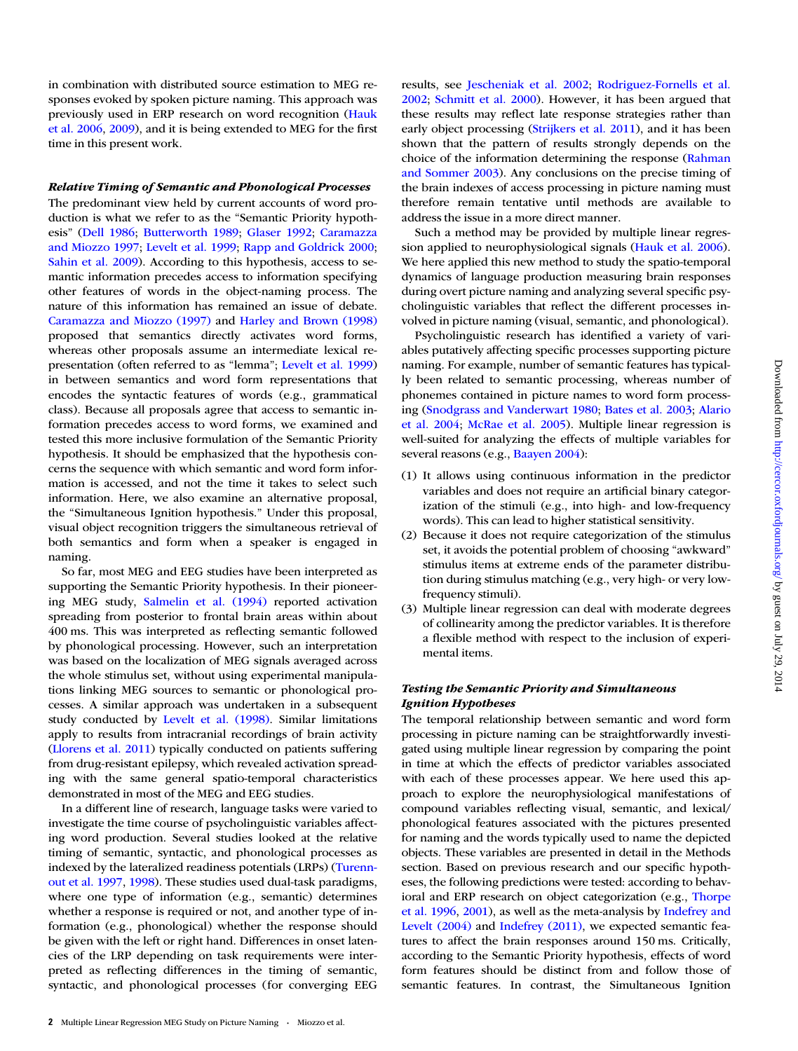in combination with distributed source estimation to MEG responses evoked by spoken picture naming. This approach was previously used in ERP research on word recognition [\(Hauk](#page-11-0) [et al. 2006](#page-11-0), [2009](#page-11-0)), and it is being extended to MEG for the first time in this present work.

#### Relative Timing of Semantic and Phonological Processes

The predominant view held by current accounts of word production is what we refer to as the "Semantic Priority hypothesis" [\(Dell 1986](#page-11-0); [Butterworth 1989;](#page-10-0) [Glaser 1992](#page-11-0); [Caramazza](#page-10-0) [and Miozzo 1997;](#page-10-0) [Levelt et al. 1999;](#page-11-0) [Rapp and Goldrick 2000](#page-11-0); [Sahin et al. 2009\)](#page-12-0). According to this hypothesis, access to semantic information precedes access to information specifying other features of words in the object-naming process. The nature of this information has remained an issue of debate. [Caramazza and Miozzo \(1997\)](#page-10-0) and [Harley and Brown \(1998\)](#page-11-0) proposed that semantics directly activates word forms, whereas other proposals assume an intermediate lexical representation (often referred to as "lemma"; [Levelt et al. 1999\)](#page-11-0) in between semantics and word form representations that encodes the syntactic features of words (e.g., grammatical class). Because all proposals agree that access to semantic information precedes access to word forms, we examined and tested this more inclusive formulation of the Semantic Priority hypothesis. It should be emphasized that the hypothesis concerns the sequence with which semantic and word form information is accessed, and not the time it takes to select such information. Here, we also examine an alternative proposal, the "Simultaneous Ignition hypothesis." Under this proposal, visual object recognition triggers the simultaneous retrieval of both semantics and form when a speaker is engaged in naming.

So far, most MEG and EEG studies have been interpreted as supporting the Semantic Priority hypothesis. In their pioneering MEG study, [Salmelin et al. \(1994\)](#page-12-0) reported activation spreading from posterior to frontal brain areas within about 400 ms. This was interpreted as reflecting semantic followed by phonological processing. However, such an interpretation was based on the localization of MEG signals averaged across the whole stimulus set, without using experimental manipulations linking MEG sources to semantic or phonological processes. A similar approach was undertaken in a subsequent study conducted by [Levelt et al. \(1998\).](#page-11-0) Similar limitations apply to results from intracranial recordings of brain activity [\(Llorens et al. 2011](#page-11-0)) typically conducted on patients suffering from drug-resistant epilepsy, which revealed activation spreading with the same general spatio-temporal characteristics demonstrated in most of the MEG and EEG studies.

In a different line of research, language tasks were varied to investigate the time course of psycholinguistic variables affecting word production. Several studies looked at the relative timing of semantic, syntactic, and phonological processes as indexed by the lateralized readiness potentials (LRPs) ([Turenn](#page-12-0)[out et al. 1997](#page-12-0), [1998](#page-12-0)). These studies used dual-task paradigms, where one type of information (e.g., semantic) determines whether a response is required or not, and another type of information (e.g., phonological) whether the response should be given with the left or right hand. Differences in onset latencies of the LRP depending on task requirements were interpreted as reflecting differences in the timing of semantic, syntactic, and phonological processes (for converging EEG results, see [Jescheniak et al. 2002](#page-11-0); [Rodriguez-Fornells et al.](#page-11-0) [2002;](#page-11-0) [Schmitt et al. 2000](#page-12-0)). However, it has been argued that these results may reflect late response strategies rather than early object processing [\(Strijkers et al. 2011](#page-12-0)), and it has been shown that the pattern of results strongly depends on the choice of the information determining the response [\(Rahman](#page-11-0) [and Sommer 2003](#page-11-0)). Any conclusions on the precise timing of the brain indexes of access processing in picture naming must therefore remain tentative until methods are available to address the issue in a more direct manner.

Such a method may be provided by multiple linear regression applied to neurophysiological signals ([Hauk et al. 2006](#page-11-0)). We here applied this new method to study the spatio-temporal dynamics of language production measuring brain responses during overt picture naming and analyzing several specific psycholinguistic variables that reflect the different processes involved in picture naming (visual, semantic, and phonological).

Psycholinguistic research has identified a variety of variables putatively affecting specific processes supporting picture naming. For example, number of semantic features has typically been related to semantic processing, whereas number of phonemes contained in picture names to word form processing [\(Snodgrass and Vanderwart 1980;](#page-12-0) [Bates et al. 2003;](#page-10-0) [Alario](#page-10-0) [et al. 2004](#page-10-0); [McRae et al. 2005](#page-11-0)). Multiple linear regression is well-suited for analyzing the effects of multiple variables for several reasons (e.g., [Baayen 2004\)](#page-10-0):

- (1) It allows using continuous information in the predictor variables and does not require an artificial binary categorization of the stimuli (e.g., into high- and low-frequency words). This can lead to higher statistical sensitivity.
- (2) Because it does not require categorization of the stimulus set, it avoids the potential problem of choosing "awkward" stimulus items at extreme ends of the parameter distribution during stimulus matching (e.g., very high- or very lowfrequency stimuli).
- (3) Multiple linear regression can deal with moderate degrees of collinearity among the predictor variables. It is therefore a flexible method with respect to the inclusion of experimental items.

# Testing the Semantic Priority and Simultaneous Ignition Hypotheses

The temporal relationship between semantic and word form processing in picture naming can be straightforwardly investigated using multiple linear regression by comparing the point in time at which the effects of predictor variables associated with each of these processes appear. We here used this approach to explore the neurophysiological manifestations of compound variables reflecting visual, semantic, and lexical/ phonological features associated with the pictures presented for naming and the words typically used to name the depicted objects. These variables are presented in detail in the Methods section. Based on previous research and our specific hypotheses, the following predictions were tested: according to behavioral and ERP research on object categorization (e.g., [Thorpe](#page-12-0) [et al. 1996](#page-12-0), [2001](#page-12-0)), as well as the meta-analysis by [Indefrey and](#page-11-0) [Levelt \(2004\)](#page-11-0) and [Indefrey \(2011\)](#page-11-0), we expected semantic features to affect the brain responses around 150 ms. Critically, according to the Semantic Priority hypothesis, effects of word form features should be distinct from and follow those of semantic features. In contrast, the Simultaneous Ignition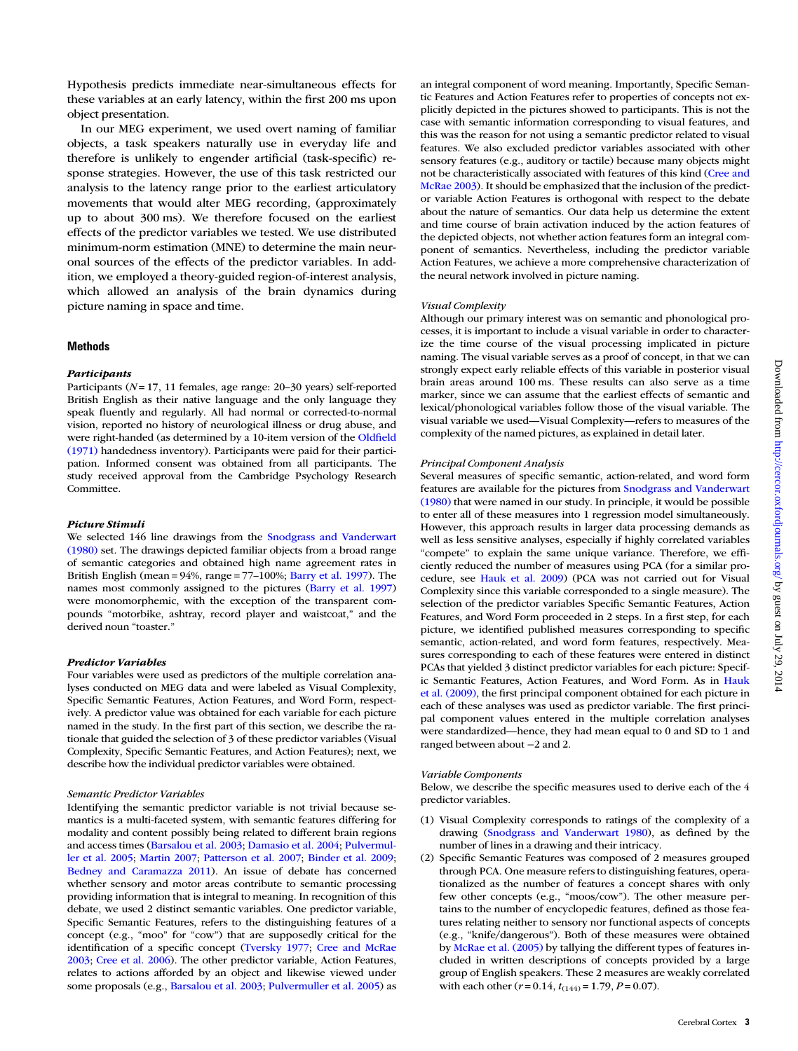In our MEG experiment, we used overt naming of familiar objects, a task speakers naturally use in everyday life and therefore is unlikely to engender artificial (task-specific) response strategies. However, the use of this task restricted our analysis to the latency range prior to the earliest articulatory movements that would alter MEG recording, (approximately up to about 300 ms). We therefore focused on the earliest effects of the predictor variables we tested. We use distributed minimum-norm estimation (MNE) to determine the main neuronal sources of the effects of the predictor variables. In addition, we employed a theory-guided region-of-interest analysis, which allowed an analysis of the brain dynamics during picture naming in space and time.

## **Methods**

#### **Participants**

Participants ( $N = 17$ , 11 females, age range: 20-30 years) self-reported British English as their native language and the only language they speak fluently and regularly. All had normal or corrected-to-normal vision, reported no history of neurological illness or drug abuse, and were right-handed (as determined by a 10-item version of the [Old](#page-11-0)field [\(1971\)](#page-11-0) handedness inventory). Participants were paid for their participation. Informed consent was obtained from all participants. The study received approval from the Cambridge Psychology Research Committee.

#### Picture Stimuli

We selected 146 line drawings from the [Snodgrass and Vanderwart](#page-12-0) [\(1980\)](#page-12-0) set. The drawings depicted familiar objects from a broad range of semantic categories and obtained high name agreement rates in British English (mean = 94%, range = 77–100%; [Barry et al. 1997](#page-10-0)). The names most commonly assigned to the pictures [\(Barry et al. 1997](#page-10-0)) were monomorphemic, with the exception of the transparent compounds "motorbike, ashtray, record player and waistcoat," and the derived noun "toaster."

#### Predictor Variables

Four variables were used as predictors of the multiple correlation analyses conducted on MEG data and were labeled as Visual Complexity, Specific Semantic Features, Action Features, and Word Form, respectively. A predictor value was obtained for each variable for each picture named in the study. In the first part of this section, we describe the rationale that guided the selection of 3 of these predictor variables (Visual Complexity, Specific Semantic Features, and Action Features); next, we describe how the individual predictor variables were obtained.

#### Semantic Predictor Variables

Identifying the semantic predictor variable is not trivial because semantics is a multi-faceted system, with semantic features differing for modality and content possibly being related to different brain regions and access times [\(Barsalou et al. 2003](#page-10-0); [Damasio et al. 2004;](#page-11-0) [Pulvermul](#page-11-0)[ler et al. 2005](#page-11-0); [Martin 2007;](#page-11-0) [Patterson et al. 2007](#page-11-0); [Binder et al. 2009;](#page-10-0) [Bedney and Caramazza 2011](#page-10-0)). An issue of debate has concerned whether sensory and motor areas contribute to semantic processing providing information that is integral to meaning. In recognition of this debate, we used 2 distinct semantic variables. One predictor variable, Specific Semantic Features, refers to the distinguishing features of a concept (e.g., "moo" for "cow") that are supposedly critical for the identification of a specific concept [\(Tversky 1977](#page-12-0); [Cree and McRae](#page-11-0) [2003;](#page-11-0) [Cree et al. 2006\)](#page-10-0). The other predictor variable, Action Features, relates to actions afforded by an object and likewise viewed under some proposals (e.g., [Barsalou et al. 2003](#page-10-0); [Pulvermuller et al. 2005\)](#page-11-0) as an integral component of word meaning. Importantly, Specific Semantic Features and Action Features refer to properties of concepts not explicitly depicted in the pictures showed to participants. This is not the case with semantic information corresponding to visual features, and this was the reason for not using a semantic predictor related to visual features. We also excluded predictor variables associated with other sensory features (e.g., auditory or tactile) because many objects might not be characteristically associated with features of this kind [\(Cree and](#page-11-0) [McRae 2003\)](#page-11-0). It should be emphasized that the inclusion of the predictor variable Action Features is orthogonal with respect to the debate about the nature of semantics. Our data help us determine the extent and time course of brain activation induced by the action features of the depicted objects, not whether action features form an integral component of semantics. Nevertheless, including the predictor variable Action Features, we achieve a more comprehensive characterization of the neural network involved in picture naming.

#### Visual Complexity

Although our primary interest was on semantic and phonological processes, it is important to include a visual variable in order to characterize the time course of the visual processing implicated in picture naming. The visual variable serves as a proof of concept, in that we can strongly expect early reliable effects of this variable in posterior visual brain areas around 100 ms. These results can also serve as a time marker, since we can assume that the earliest effects of semantic and lexical/phonological variables follow those of the visual variable. The visual variable we used—Visual Complexity—refers to measures of the complexity of the named pictures, as explained in detail later.

#### Principal Component Analysis

Several measures of specific semantic, action-related, and word form features are available for the pictures from [Snodgrass and Vanderwart](#page-12-0) [\(1980\)](#page-12-0) that were named in our study. In principle, it would be possible to enter all of these measures into 1 regression model simultaneously. However, this approach results in larger data processing demands as well as less sensitive analyses, especially if highly correlated variables "compete" to explain the same unique variance. Therefore, we efficiently reduced the number of measures using PCA (for a similar procedure, see [Hauk et al. 2009](#page-11-0)) (PCA was not carried out for Visual Complexity since this variable corresponded to a single measure). The selection of the predictor variables Specific Semantic Features, Action Features, and Word Form proceeded in 2 steps. In a first step, for each picture, we identified published measures corresponding to specific semantic, action-related, and word form features, respectively. Measures corresponding to each of these features were entered in distinct PCAs that yielded 3 distinct predictor variables for each picture: Specific Semantic Features, Action Features, and Word Form. As in [Hauk](#page-11-0) [et al. \(2009\)](#page-11-0), the first principal component obtained for each picture in each of these analyses was used as predictor variable. The first principal component values entered in the multiple correlation analyses were standardized—hence, they had mean equal to 0 and SD to 1 and ranged between about −2 and 2.

## Variable Components

Below, we describe the specific measures used to derive each of the 4 predictor variables.

- (1) Visual Complexity corresponds to ratings of the complexity of a drawing ([Snodgrass and Vanderwart 1980](#page-12-0)), as defined by the number of lines in a drawing and their intricacy.
- (2) Specific Semantic Features was composed of 2 measures grouped through PCA. One measure refers to distinguishing features, operationalized as the number of features a concept shares with only few other concepts (e.g., "moos/cow"). The other measure pertains to the number of encyclopedic features, defined as those features relating neither to sensory nor functional aspects of concepts (e.g., "knife/dangerous"). Both of these measures were obtained by [McRae et al. \(2005\)](#page-11-0) by tallying the different types of features included in written descriptions of concepts provided by a large group of English speakers. These 2 measures are weakly correlated with each other ( $r = 0.14$ ,  $t_{(144)} = 1.79$ ,  $P = 0.07$ ).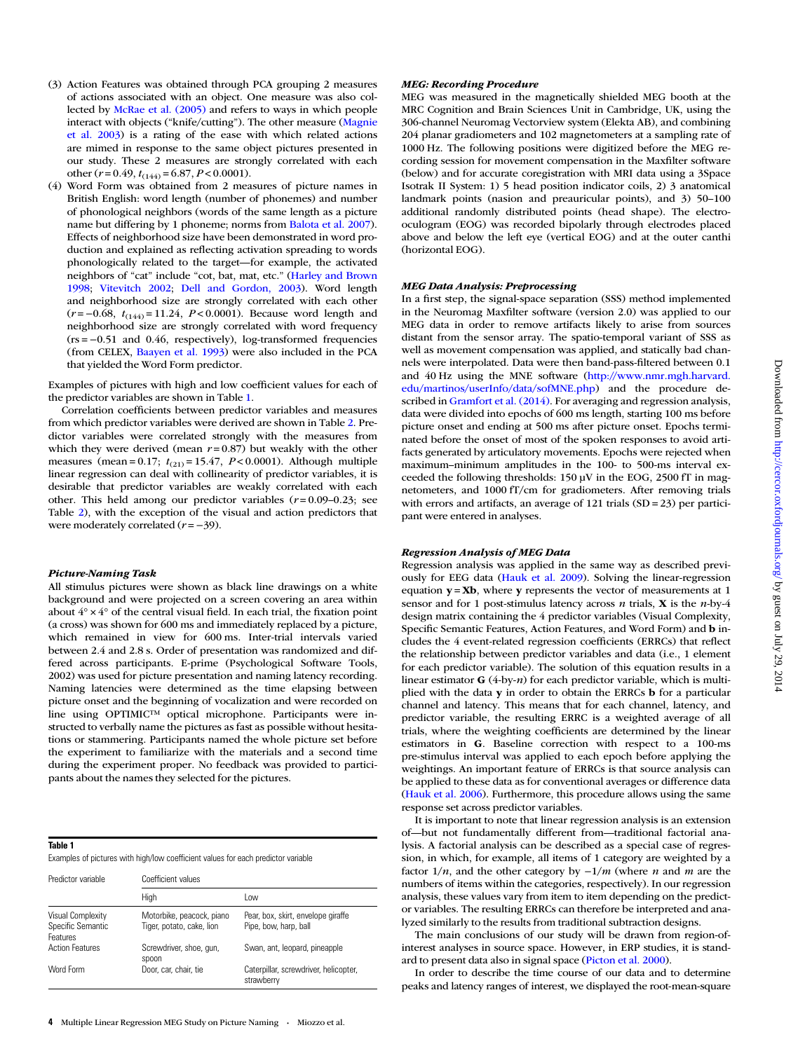- (3) Action Features was obtained through PCA grouping 2 measures of actions associated with an object. One measure was also collected by [McRae et al. \(2005\)](#page-11-0) and refers to ways in which people interact with objects ("knife/cutting"). The other measure [\(Magnie](#page-11-0) [et al. 2003\)](#page-11-0) is a rating of the ease with which related actions are mimed in response to the same object pictures presented in our study. These 2 measures are strongly correlated with each other ( $r = 0.49$ ,  $t_{(144)} = 6.87$ ,  $P < 0.0001$ ).
- (4) Word Form was obtained from 2 measures of picture names in British English: word length (number of phonemes) and number of phonological neighbors (words of the same length as a picture name but differing by 1 phoneme; norms from [Balota et al. 2007\)](#page-10-0). Effects of neighborhood size have been demonstrated in word production and explained as reflecting activation spreading to words phonologically related to the target—for example, the activated neighbors of "cat" include "cot, bat, mat, etc." ([Harley and Brown](#page-11-0) [1998;](#page-11-0) [Vitevitch 2002](#page-12-0); [Dell and Gordon, 2003](#page-11-0)). Word length and neighborhood size are strongly correlated with each other  $(r = -0.68, t_{(144)} = 11.24, P < 0.0001)$ . Because word length and neighborhood size are strongly correlated with word frequency (rs = −0.51 and 0.46, respectively), log-transformed frequencies (from CELEX, [Baayen et al. 1993](#page-10-0)) were also included in the PCA that yielded the Word Form predictor.

Examples of pictures with high and low coefficient values for each of the predictor variables are shown in Table 1.

Correlation coefficients between predictor variables and measures from which predictor variables were derived are shown in Table [2.](#page-4-0) Predictor variables were correlated strongly with the measures from which they were derived (mean  $r = 0.87$ ) but weakly with the other measures (mean = 0.17;  $t_{(21)} = 15.47$ ,  $P < 0.0001$ ). Although multiple linear regression can deal with collinearity of predictor variables, it is desirable that predictor variables are weakly correlated with each other. This held among our predictor variables  $(r=0.09-0.23;$  see Table [2](#page-4-0)), with the exception of the visual and action predictors that were moderately correlated  $(r = -39)$ .

## Picture-Naming Task

All stimulus pictures were shown as black line drawings on a white background and were projected on a screen covering an area within about  $4^{\circ} \times 4^{\circ}$  of the central visual field. In each trial, the fixation point (a cross) was shown for 600 ms and immediately replaced by a picture, which remained in view for 600 ms. Inter-trial intervals varied between 2.4 and 2.8 s. Order of presentation was randomized and differed across participants. E-prime (Psychological Software Tools, 2002) was used for picture presentation and naming latency recording. Naming latencies were determined as the time elapsing between picture onset and the beginning of vocalization and were recorded on line using OPTIMIC™ optical microphone. Participants were instructed to verbally name the pictures as fast as possible without hesitations or stammering. Participants named the whole picture set before the experiment to familiarize with the materials and a second time during the experiment proper. No feedback was provided to participants about the names they selected for the pictures.

## Table 1

Examples of pictures with high/low coefficient values for each predictor variable

| Predictor variable                                 | Coefficient values                                     |                                                             |  |  |  |
|----------------------------------------------------|--------------------------------------------------------|-------------------------------------------------------------|--|--|--|
|                                                    | High                                                   | Low                                                         |  |  |  |
| Visual Complexity<br>Specific Semantic<br>Features | Motorbike, peacock, piano<br>Tiger, potato, cake, lion | Pear, box, skirt, envelope giraffe<br>Pipe, bow, harp, ball |  |  |  |
| <b>Action Features</b>                             | Screwdriver, shoe, gun,<br>spoon                       | Swan, ant, leopard, pineapple                               |  |  |  |
| Word Form                                          | Door, car, chair, tie                                  | Caterpillar, screwdriver, helicopter,<br>strawberry         |  |  |  |

### MEG: Recording Procedure

MEG was measured in the magnetically shielded MEG booth at the MRC Cognition and Brain Sciences Unit in Cambridge, UK, using the 306-channel Neuromag Vectorview system (Elekta AB), and combining 204 planar gradiometers and 102 magnetometers at a sampling rate of 1000 Hz. The following positions were digitized before the MEG recording session for movement compensation in the Maxfilter software (below) and for accurate coregistration with MRI data using a 3Space Isotrak II System: 1) 5 head position indicator coils, 2) 3 anatomical landmark points (nasion and preauricular points), and 3) 50–100 additional randomly distributed points (head shape). The electrooculogram (EOG) was recorded bipolarly through electrodes placed above and below the left eye (vertical EOG) and at the outer canthi (horizontal EOG).

## MEG Data Analysis: Preprocessing

In a first step, the signal-space separation (SSS) method implemented in the Neuromag Maxfilter software (version 2.0) was applied to our MEG data in order to remove artifacts likely to arise from sources distant from the sensor array. The spatio-temporal variant of SSS as well as movement compensation was applied, and statically bad channels were interpolated. Data were then band-pass-filtered between 0.1 and 40 Hz using the MNE software [\(http://www.nmr.mgh.harvard.](http://www.nmr.mgh.harvard.edu/martinos/userInfo/data/sofMNE.php) [edu/martinos/userInfo/data/sofMNE.php](http://www.nmr.mgh.harvard.edu/martinos/userInfo/data/sofMNE.php)) and the procedure described in [Gramfort et al. \(2014\)](#page-11-0). For averaging and regression analysis, data were divided into epochs of 600 ms length, starting 100 ms before picture onset and ending at 500 ms after picture onset. Epochs terminated before the onset of most of the spoken responses to avoid artifacts generated by articulatory movements. Epochs were rejected when maximum–minimum amplitudes in the 100- to 500-ms interval exceeded the following thresholds: 150 µV in the EOG, 2500 fT in magnetometers, and 1000 fT/cm for gradiometers. After removing trials with errors and artifacts, an average of 121 trials (SD = 23) per participant were entered in analyses.

#### Regression Analysis of MEG Data

Regression analysis was applied in the same way as described previously for EEG data [\(Hauk et al. 2009\)](#page-11-0). Solving the linear-regression equation  $y = Xb$ , where y represents the vector of measurements at 1 sensor and for 1 post-stimulus latency across  $n$  trials,  $X$  is the  $n$ -by-4 design matrix containing the 4 predictor variables (Visual Complexity, Specific Semantic Features, Action Features, and Word Form) and b includes the 4 event-related regression coefficients (ERRCs) that reflect the relationship between predictor variables and data (i.e., 1 element for each predictor variable). The solution of this equation results in a linear estimator  $G(4-by-n)$  for each predictor variable, which is multiplied with the data y in order to obtain the ERRCs b for a particular channel and latency. This means that for each channel, latency, and predictor variable, the resulting ERRC is a weighted average of all trials, where the weighting coefficients are determined by the linear estimators in G. Baseline correction with respect to a 100-ms pre-stimulus interval was applied to each epoch before applying the weightings. An important feature of ERRCs is that source analysis can be applied to these data as for conventional averages or difference data ([Hauk et al. 2006\)](#page-11-0). Furthermore, this procedure allows using the same response set across predictor variables.

It is important to note that linear regression analysis is an extension of—but not fundamentally different from—traditional factorial analysis. A factorial analysis can be described as a special case of regression, in which, for example, all items of 1 category are weighted by a factor  $1/n$ , and the other category by  $-1/m$  (where *n* and *m* are the numbers of items within the categories, respectively). In our regression analysis, these values vary from item to item depending on the predictor variables. The resulting ERRCs can therefore be interpreted and analyzed similarly to the results from traditional subtraction designs.

The main conclusions of our study will be drawn from region-ofinterest analyses in source space. However, in ERP studies, it is standard to present data also in signal space ([Picton et al. 2000](#page-11-0)).

In order to describe the time course of our data and to determine peaks and latency ranges of interest, we displayed the root-mean-square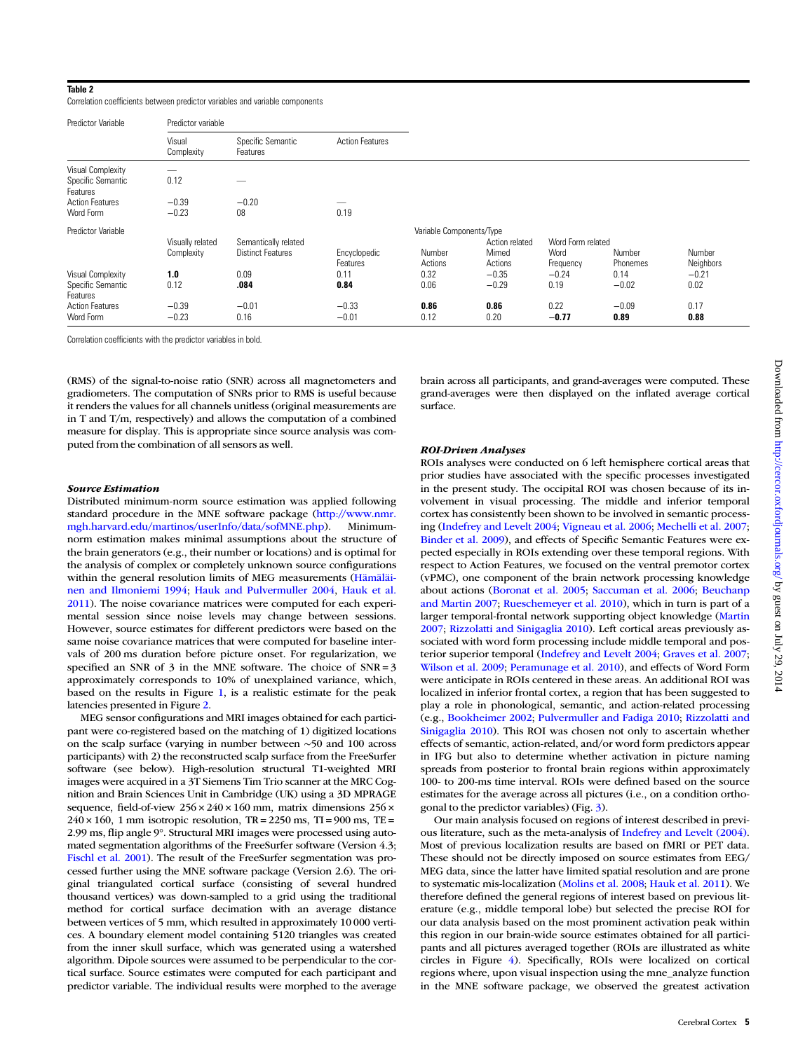## <span id="page-4-0"></span>Table 2

Correlation coefficients between predictor variables and variable components

| <b>Predictor Variable</b>                                 | Predictor variable   |                               |                          |                          |                  |                   |                    |                     |
|-----------------------------------------------------------|----------------------|-------------------------------|--------------------------|--------------------------|------------------|-------------------|--------------------|---------------------|
|                                                           | Visual<br>Complexity | Specific Semantic<br>Features | <b>Action Features</b>   |                          |                  |                   |                    |                     |
| <b>Visual Complexity</b><br>Specific Semantic<br>Features | 0.12                 |                               |                          |                          |                  |                   |                    |                     |
| <b>Action Features</b><br>Word Form                       | $-0.39$<br>$-0.23$   | $-0.20$<br>08                 | 0.19                     |                          |                  |                   |                    |                     |
| <b>Predictor Variable</b>                                 |                      |                               |                          | Variable Components/Type |                  |                   |                    |                     |
|                                                           | Visually related     | Semantically related          |                          |                          | Action related   | Word Form related |                    |                     |
|                                                           | Complexity           | <b>Distinct Features</b>      | Encyclopedic<br>Features | Number<br>Actions        | Mimed<br>Actions | Word<br>Frequency | Number<br>Phonemes | Number<br>Neighbors |
| <b>Visual Complexity</b>                                  | 1.0                  | 0.09                          | 0.11                     | 0.32                     | $-0.35$          | $-0.24$           | 0.14               | $-0.21$             |
| Specific Semantic<br>Features                             | 0.12                 | .084                          | 0.84                     | 0.06                     | $-0.29$          | 0.19              | $-0.02$            | 0.02                |
| <b>Action Features</b>                                    | $-0.39$              | $-0.01$                       | $-0.33$                  | 0.86                     | 0.86             | 0.22              | $-0.09$            | 0.17                |
| Word Form                                                 | $-0.23$              | 0.16                          | $-0.01$                  | 0.12                     | 0.20             | $-0.77$           | 0.89               | 0.88                |

Correlation coefficients with the predictor variables in bold.

(RMS) of the signal-to-noise ratio (SNR) across all magnetometers and gradiometers. The computation of SNRs prior to RMS is useful because it renders the values for all channels unitless (original measurements are in T and T/m, respectively) and allows the computation of a combined measure for display. This is appropriate since source analysis was computed from the combination of all sensors as well.

#### brain across all participants, and grand-averages were computed. These grand-averages were then displayed on the inflated average cortical surface.

#### ROI-Driven Analyses

Source Estimation

Distributed minimum-norm source estimation was applied following standard procedure in the MNE software package ([http://www.nmr.](http://www.nmr.mgh.harvard.edu/martinos/userInfo/data/sofMNE.php) [mgh.harvard.edu/martinos/userInfo/data/sofMNE.php](http://www.nmr.mgh.harvard.edu/martinos/userInfo/data/sofMNE.php)). Minimumnorm estimation makes minimal assumptions about the structure of the brain generators (e.g., their number or locations) and is optimal for the analysis of complex or completely unknown source configurations within the general resolution limits of MEG measurements ([Hämäläi](#page-11-0)[nen and Ilmoniemi 1994](#page-11-0); [Hauk and Pulvermuller 2004](#page-11-0), [Hauk et al.](#page-11-0) [2011\)](#page-11-0). The noise covariance matrices were computed for each experimental session since noise levels may change between sessions. However, source estimates for different predictors were based on the same noise covariance matrices that were computed for baseline intervals of 200 ms duration before picture onset. For regularization, we specified an SNR of 3 in the MNE software. The choice of SNR = 3 approximately corresponds to 10% of unexplained variance, which, based on the results in Figure [1](#page-5-0), is a realistic estimate for the peak latencies presented in Figure [2](#page-6-0).

MEG sensor configurations and MRI images obtained for each participant were co-registered based on the matching of 1) digitized locations on the scalp surface (varying in number between ∼50 and 100 across participants) with 2) the reconstructed scalp surface from the FreeSurfer software (see below). High-resolution structural T1-weighted MRI images were acquired in a 3T Siemens Tim Trio scanner at the MRC Cognition and Brain Sciences Unit in Cambridge (UK) using a 3D MPRAGE sequence, field-of-view  $256 \times 240 \times 160$  mm, matrix dimensions  $256 \times$  $240 \times 160$ , 1 mm isotropic resolution, TR = 2250 ms, TI = 900 ms, TE = 2.99 ms, flip angle 9°. Structural MRI images were processed using automated segmentation algorithms of the FreeSurfer software (Version 4.3; [Fischl et al. 2001](#page-11-0)). The result of the FreeSurfer segmentation was processed further using the MNE software package (Version 2.6). The original triangulated cortical surface (consisting of several hundred thousand vertices) was down-sampled to a grid using the traditional method for cortical surface decimation with an average distance between vertices of 5 mm, which resulted in approximately 10 000 vertices. A boundary element model containing 5120 triangles was created from the inner skull surface, which was generated using a watershed algorithm. Dipole sources were assumed to be perpendicular to the cortical surface. Source estimates were computed for each participant and predictor variable. The individual results were morphed to the average

ROIs analyses were conducted on 6 left hemisphere cortical areas that prior studies have associated with the specific processes investigated in the present study. The occipital ROI was chosen because of its involvement in visual processing. The middle and inferior temporal cortex has consistently been shown to be involved in semantic processing [\(Indefrey and Levelt 2004](#page-11-0); [Vigneau et al. 2006;](#page-12-0) [Mechelli et al. 2007;](#page-11-0) [Binder et al. 2009](#page-10-0)), and effects of Specific Semantic Features were expected especially in ROIs extending over these temporal regions. With respect to Action Features, we focused on the ventral premotor cortex (vPMC), one component of the brain network processing knowledge about actions ([Boronat et al. 2005;](#page-10-0) [Saccuman et al. 2006](#page-11-0); [Beuchanp](#page-10-0) [and Martin](#page-10-0) 2007; [Rueschemeyer et al. 2010\)](#page-11-0), which in turn is part of a larger temporal-frontal network supporting object knowledge [\(Martin](#page-11-0) [2007;](#page-11-0) [Rizzolatti and Sinigaglia 2010](#page-11-0)). Left cortical areas previously associated with word form processing include middle temporal and posterior superior temporal ([Indefrey and Levelt 2004](#page-11-0); [Graves et al. 2007;](#page-11-0) [Wilson et al. 2009](#page-12-0); [Peramunage et al. 2010\)](#page-11-0), and effects of Word Form were anticipate in ROIs centered in these areas. An additional ROI was localized in inferior frontal cortex, a region that has been suggested to play a role in phonological, semantic, and action-related processing (e.g., [Bookheimer 2002;](#page-10-0) [Pulvermuller and Fadiga 2010;](#page-11-0) [Rizzolatti and](#page-11-0) [Sinigaglia 2010\)](#page-11-0). This ROI was chosen not only to ascertain whether effects of semantic, action-related, and/or word form predictors appear in IFG but also to determine whether activation in picture naming spreads from posterior to frontal brain regions within approximately 100- to 200-ms time interval. ROIs were defined based on the source estimates for the average across all pictures (i.e., on a condition orthogonal to the predictor variables) (Fig. [3\)](#page-6-0).

Our main analysis focused on regions of interest described in previous literature, such as the meta-analysis of [Indefrey and Levelt \(2004\).](#page-11-0) Most of previous localization results are based on fMRI or PET data. These should not be directly imposed on source estimates from EEG/ MEG data, since the latter have limited spatial resolution and are prone to systematic mis-localization ([Molins et al. 2008](#page-11-0); [Hauk et al. 2011\)](#page-11-0). We therefore defined the general regions of interest based on previous literature (e.g., middle temporal lobe) but selected the precise ROI for our data analysis based on the most prominent activation peak within this region in our brain-wide source estimates obtained for all participants and all pictures averaged together (ROIs are illustrated as white circles in Figure [4\)](#page-7-0). Specifically, ROIs were localized on cortical regions where, upon visual inspection using the mne\_analyze function in the MNE software package, we observed the greatest activation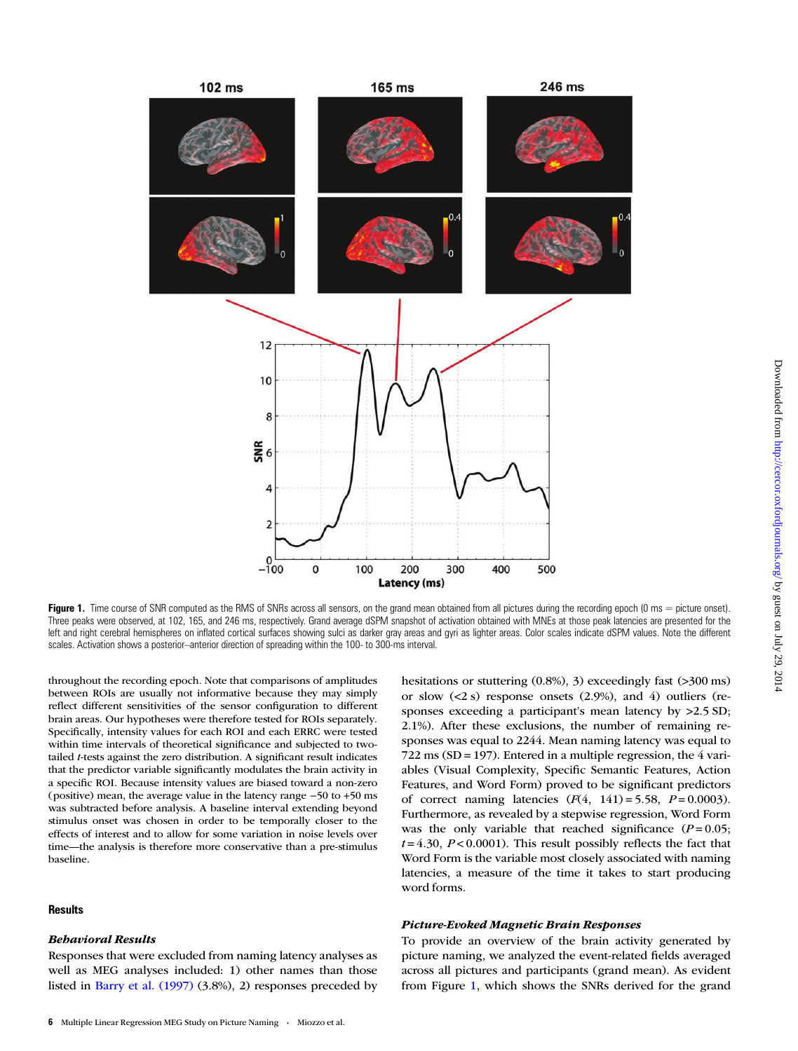<span id="page-5-0"></span>

Three peaks were observed, at 102, 165, and 246 ms, respectively. Grand average dSPM snapshot of activation obtained with MNEs at those peak latencies are presented for the left and right cerebral hemispheres on inflated cortical surfaces showing sulci as darker gray areas and gyri as lighter areas. Color scales indicate dSPM values. Note the different scales. Activation shows a posterior–anterior direction of spreading within the 100- to 300-ms interval.

throughout the recording epoch. Note that comparisons of amplitudes between ROIs are usually not informative because they may simply reflect different sensitivities of the sensor configuration to different brain areas. Our hypotheses were therefore tested for ROIs separately. Specifically, intensity values for each ROI and each ERRC were tested within time intervals of theoretical significance and subjected to twotailed t-tests against the zero distribution. A significant result indicates that the predictor variable significantly modulates the brain activity in a specific ROI. Because intensity values are biased toward a non-zero (positive) mean, the average value in the latency range −50 to +50 ms was subtracted before analysis. A baseline interval extending beyond stimulus onset was chosen in order to be temporally closer to the effects of interest and to allow for some variation in noise levels over time—the analysis is therefore more conservative than a pre-stimulus baseline.

#### **Results**

## Behavioral Results

Responses that were excluded from naming latency analyses as well as MEG analyses included: 1) other names than those listed in [Barry et al. \(1997\)](#page-10-0) (3.8%), 2) responses preceded by hesitations or stuttering  $(0.8\%)$ , 3) exceedingly fast (>300 ms) or slow  $(2s)$  response onsets  $(2.9\%)$ , and 4) outliers (responses exceeding a participant's mean latency by  $>2.5$  SD; 2.1%). After these exclusions, the number of remaining responses was equal to 2244. Mean naming latency was equal to 722 ms (SD = 197). Entered in a multiple regression, the 4 variables (Visual Complexity, Specific Semantic Features, Action Features, and Word Form) proved to be significant predictors of correct naming latencies  $(F(4, 141) = 5.58, P = 0.0003)$ . Furthermore, as revealed by a stepwise regression, Word Form was the only variable that reached significance  $(P = 0.05)$ ;  $t = 4.30$ ,  $P < 0.0001$ ). This result possibly reflects the fact that Word Form is the variable most closely associated with naming latencies, a measure of the time it takes to start producing word forms.

## Picture-Evoked Magnetic Brain Responses

To provide an overview of the brain activity generated by picture naming, we analyzed the event-related fields averaged across all pictures and participants (grand mean). As evident from Figure 1, which shows the SNRs derived for the grand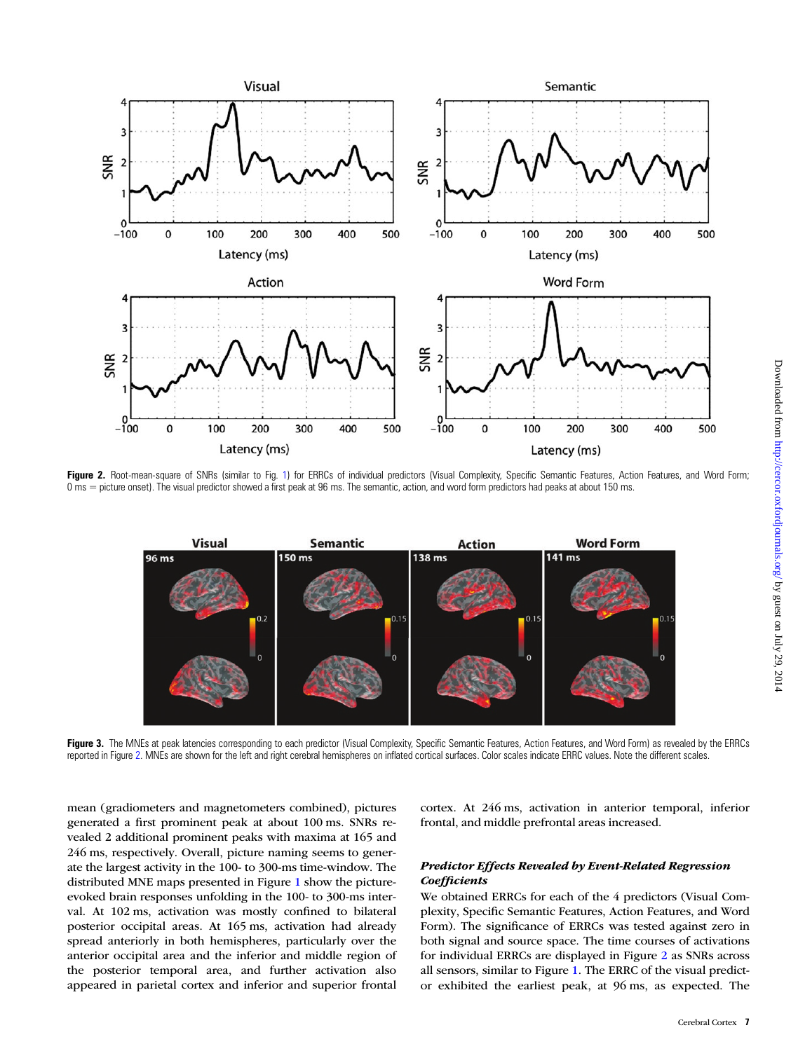<span id="page-6-0"></span>

Figure 2. Root-mean-square of SNRs (similar to Fig. [1\)](#page-5-0) for ERRCs of individual predictors (Visual Complexity, Specific Semantic Features, Action Features, and Word Form; 0 ms = picture onset). The visual predictor showed a first peak at 96 ms. The semantic, action, and word form predictors had peaks at about 150 ms.



Figure 3. The MNEs at peak latencies corresponding to each predictor (Visual Complexity, Specific Semantic Features, Action Features, and Word Form) as revealed by the ERRCs reported in Figure 2. MNEs are shown for the left and right cerebral hemispheres on inflated cortical surfaces. Color scales indicate ERRC values. Note the different scales.

mean (gradiometers and magnetometers combined), pictures generated a first prominent peak at about 100 ms. SNRs revealed 2 additional prominent peaks with maxima at 165 and 246 ms, respectively. Overall, picture naming seems to generate the largest activity in the 100- to 300-ms time-window. The distributed MNE maps presented in Figure [1](#page-5-0) show the pictureevoked brain responses unfolding in the 100- to 300-ms interval. At 102 ms, activation was mostly confined to bilateral posterior occipital areas. At 165 ms, activation had already spread anteriorly in both hemispheres, particularly over the anterior occipital area and the inferior and middle region of the posterior temporal area, and further activation also appeared in parietal cortex and inferior and superior frontal

cortex. At 246 ms, activation in anterior temporal, inferior frontal, and middle prefrontal areas increased.

# Predictor Effects Revealed by Event-Related Regression **Coefficients**

We obtained ERRCs for each of the 4 predictors (Visual Complexity, Specific Semantic Features, Action Features, and Word Form). The significance of ERRCs was tested against zero in both signal and source space. The time courses of activations for individual ERRCs are displayed in Figure 2 as SNRs across all sensors, similar to Figure [1](#page-5-0). The ERRC of the visual predictor exhibited the earliest peak, at 96 ms, as expected. The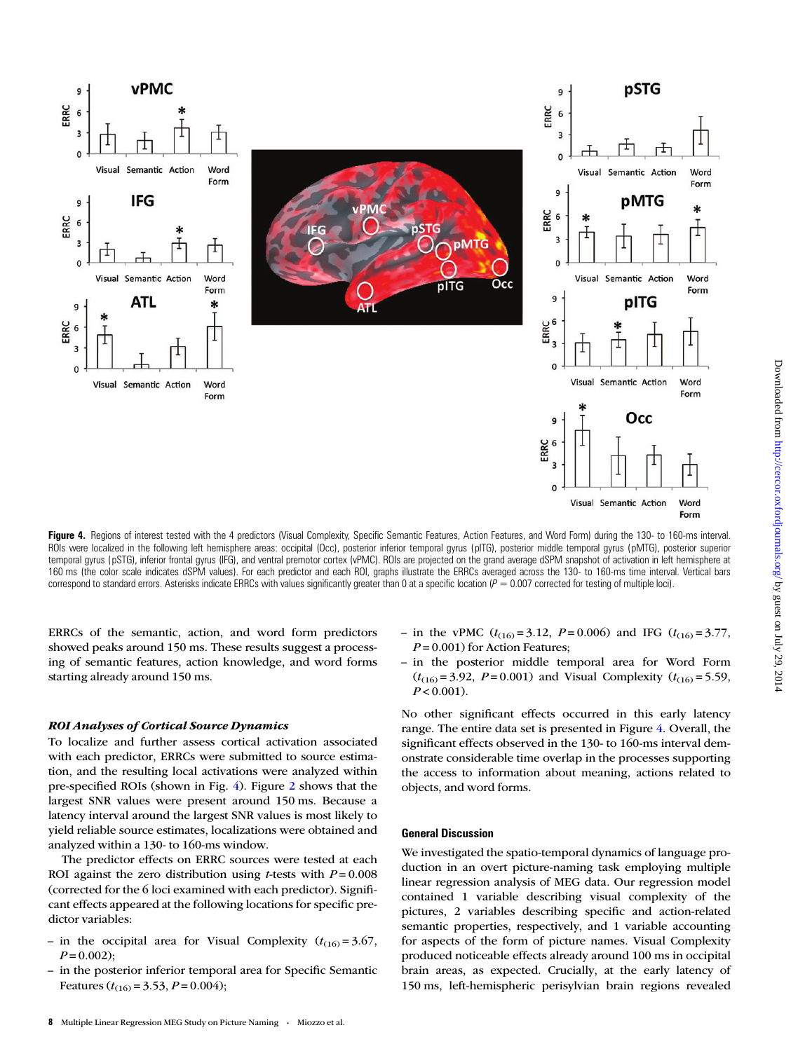<span id="page-7-0"></span>

Figure 4. Regions of interest tested with the 4 predictors (Visual Complexity, Specific Semantic Features, Action Features, and Word Form) during the 130- to 160-ms interval. ROIs were localized in the following left hemisphere areas: occipital (Occ), posterior inferior temporal gyrus (pITG), posterior middle temporal gyrus (pMTG), posterior superior temporal gyrus (pSTG), inferior frontal gyrus (IFG), and ventral premotor cortex (vPMC). ROIs are projected on the grand average dSPM snapshot of activation in left hemisphere at 160 ms (the color scale indicates dSPM values). For each predictor and each ROI, graphs illustrate the ERRCs averaged across the 130- to 160-ms time interval. Vertical bars correspond to standard errors. Asterisks indicate ERRCs with values significantly greater than 0 at a specific location  $(P = 0.007$  corrected for testing of multiple loci).

ERRCs of the semantic, action, and word form predictors showed peaks around 150 ms. These results suggest a processing of semantic features, action knowledge, and word forms starting already around 150 ms.

## ROI Analyses of Cortical Source Dynamics

To localize and further assess cortical activation associated with each predictor, ERRCs were submitted to source estimation, and the resulting local activations were analyzed within pre-specified ROIs (shown in Fig. 4). Figure [2](#page-6-0) shows that the largest SNR values were present around 150 ms. Because a latency interval around the largest SNR values is most likely to yield reliable source estimates, localizations were obtained and analyzed within a 130- to 160-ms window.

The predictor effects on ERRC sources were tested at each ROI against the zero distribution using *t*-tests with  $P = 0.008$ (corrected for the 6 loci examined with each predictor). Significant effects appeared at the following locations for specific predictor variables:

- in the occipital area for Visual Complexity  $(t_{(16)} = 3.67,$  $P = 0.002$ ;
- in the posterior inferior temporal area for Specific Semantic Features ( $t_{(16)} = 3.53$ ,  $P = 0.004$ );
- in the vPMC  $(t_{(16)} = 3.12, P = 0.006)$  and IFG  $(t_{(16)} = 3.77,$  $P = 0.001$ ) for Action Features;
- in the posterior middle temporal area for Word Form  $(t_{(16)} = 3.92, P = 0.001)$  and Visual Complexity  $(t_{(16)} = 5.59, P = 0.001)$  $P < 0.001$ ).

No other significant effects occurred in this early latency range. The entire data set is presented in Figure 4. Overall, the significant effects observed in the 130- to 160-ms interval demonstrate considerable time overlap in the processes supporting the access to information about meaning, actions related to objects, and word forms.

#### General Discussion

We investigated the spatio-temporal dynamics of language production in an overt picture-naming task employing multiple linear regression analysis of MEG data. Our regression model contained 1 variable describing visual complexity of the pictures, 2 variables describing specific and action-related semantic properties, respectively, and 1 variable accounting for aspects of the form of picture names. Visual Complexity produced noticeable effects already around 100 ms in occipital brain areas, as expected. Crucially, at the early latency of 150 ms, left-hemispheric perisylvian brain regions revealed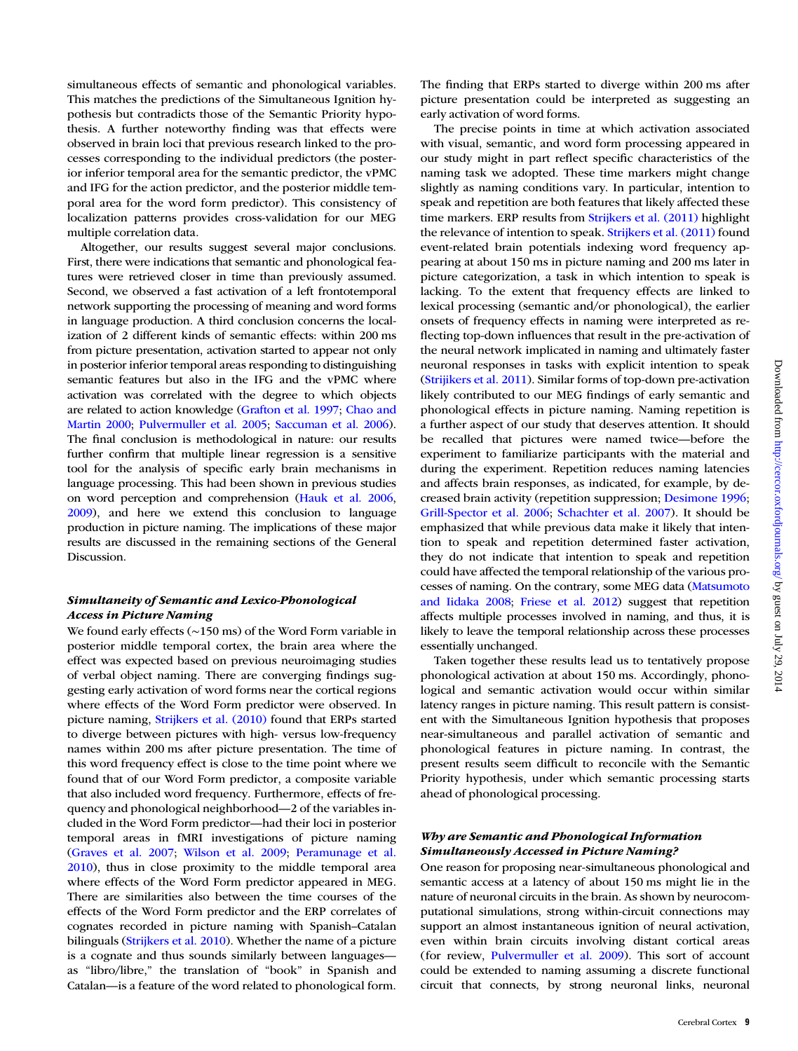simultaneous effects of semantic and phonological variables. This matches the predictions of the Simultaneous Ignition hypothesis but contradicts those of the Semantic Priority hypothesis. A further noteworthy finding was that effects were observed in brain loci that previous research linked to the processes corresponding to the individual predictors (the posterior inferior temporal area for the semantic predictor, the vPMC and IFG for the action predictor, and the posterior middle temporal area for the word form predictor). This consistency of localization patterns provides cross-validation for our MEG multiple correlation data.

Altogether, our results suggest several major conclusions. First, there were indications that semantic and phonological features were retrieved closer in time than previously assumed. Second, we observed a fast activation of a left frontotemporal network supporting the processing of meaning and word forms in language production. A third conclusion concerns the localization of 2 different kinds of semantic effects: within 200 ms from picture presentation, activation started to appear not only in posterior inferior temporal areas responding to distinguishing semantic features but also in the IFG and the vPMC where activation was correlated with the degree to which objects are related to action knowledge [\(Grafton et al. 1997](#page-11-0); [Chao and](#page-10-0) [Martin 2000](#page-10-0); [Pulvermuller et al. 2005;](#page-11-0) [Saccuman et al. 2006](#page-11-0)). The final conclusion is methodological in nature: our results further confirm that multiple linear regression is a sensitive tool for the analysis of specific early brain mechanisms in language processing. This had been shown in previous studies on word perception and comprehension ([Hauk et al. 2006,](#page-11-0) [2009\)](#page-11-0), and here we extend this conclusion to language production in picture naming. The implications of these major results are discussed in the remaining sections of the General Discussion.

# Simultaneity of Semantic and Lexico-Phonological Access in Picture Naming

We found early effects (∼150 ms) of the Word Form variable in posterior middle temporal cortex, the brain area where the effect was expected based on previous neuroimaging studies of verbal object naming. There are converging findings suggesting early activation of word forms near the cortical regions where effects of the Word Form predictor were observed. In picture naming, [Strijkers et al. \(2010\)](#page-12-0) found that ERPs started to diverge between pictures with high- versus low-frequency names within 200 ms after picture presentation. The time of this word frequency effect is close to the time point where we found that of our Word Form predictor, a composite variable that also included word frequency. Furthermore, effects of frequency and phonological neighborhood—2 of the variables included in the Word Form predictor—had their loci in posterior temporal areas in fMRI investigations of picture naming [\(Graves et al. 2007;](#page-11-0) [Wilson et al. 2009](#page-12-0); [Peramunage et al.](#page-11-0) [2010](#page-11-0)), thus in close proximity to the middle temporal area where effects of the Word Form predictor appeared in MEG. There are similarities also between the time courses of the effects of the Word Form predictor and the ERP correlates of cognates recorded in picture naming with Spanish–Catalan bilinguals ([Strijkers et al. 2010](#page-12-0)). Whether the name of a picture is a cognate and thus sounds similarly between languages as "libro/libre," the translation of "book" in Spanish and Catalan—is a feature of the word related to phonological form.

The finding that ERPs started to diverge within 200 ms after picture presentation could be interpreted as suggesting an early activation of word forms.

The precise points in time at which activation associated with visual, semantic, and word form processing appeared in our study might in part reflect specific characteristics of the naming task we adopted. These time markers might change slightly as naming conditions vary. In particular, intention to speak and repetition are both features that likely affected these time markers. ERP results from [Strijkers et al. \(2011\)](#page-12-0) highlight the relevance of intention to speak. [Strijkers et al. \(2011\)](#page-12-0) found event-related brain potentials indexing word frequency appearing at about 150 ms in picture naming and 200 ms later in picture categorization, a task in which intention to speak is lacking. To the extent that frequency effects are linked to lexical processing (semantic and/or phonological), the earlier onsets of frequency effects in naming were interpreted as reflecting top-down influences that result in the pre-activation of the neural network implicated in naming and ultimately faster neuronal responses in tasks with explicit intention to speak (Strijikers [et al. 2011](#page-12-0)). Similar forms of top-down pre-activation likely contributed to our MEG findings of early semantic and phonological effects in picture naming. Naming repetition is a further aspect of our study that deserves attention. It should be recalled that pictures were named twice—before the experiment to familiarize participants with the material and during the experiment. Repetition reduces naming latencies and affects brain responses, as indicated, for example, by decreased brain activity (repetition suppression; [Desimone 1996;](#page-11-0) [Grill-Spector et al. 2006;](#page-11-0) [Schachter et al. 2007](#page-12-0)). It should be emphasized that while previous data make it likely that intention to speak and repetition determined faster activation, they do not indicate that intention to speak and repetition could have affected the temporal relationship of the various processes of naming. On the contrary, some MEG data [\(Matsumoto](#page-11-0) [and Iidaka 2008](#page-11-0); [Friese et al. 2012\)](#page-11-0) suggest that repetition affects multiple processes involved in naming, and thus, it is likely to leave the temporal relationship across these processes essentially unchanged.

Taken together these results lead us to tentatively propose phonological activation at about 150 ms. Accordingly, phonological and semantic activation would occur within similar latency ranges in picture naming. This result pattern is consistent with the Simultaneous Ignition hypothesis that proposes near-simultaneous and parallel activation of semantic and phonological features in picture naming. In contrast, the present results seem difficult to reconcile with the Semantic Priority hypothesis, under which semantic processing starts ahead of phonological processing.

## Why are Semantic and Phonological Information Simultaneously Accessed in Picture Naming?

One reason for proposing near-simultaneous phonological and semantic access at a latency of about 150 ms might lie in the nature of neuronal circuits in the brain. As shown by neurocomputational simulations, strong within-circuit connections may support an almost instantaneous ignition of neural activation, even within brain circuits involving distant cortical areas (for review, [Pulvermuller et al. 2009](#page-11-0)). This sort of account could be extended to naming assuming a discrete functional circuit that connects, by strong neuronal links, neuronal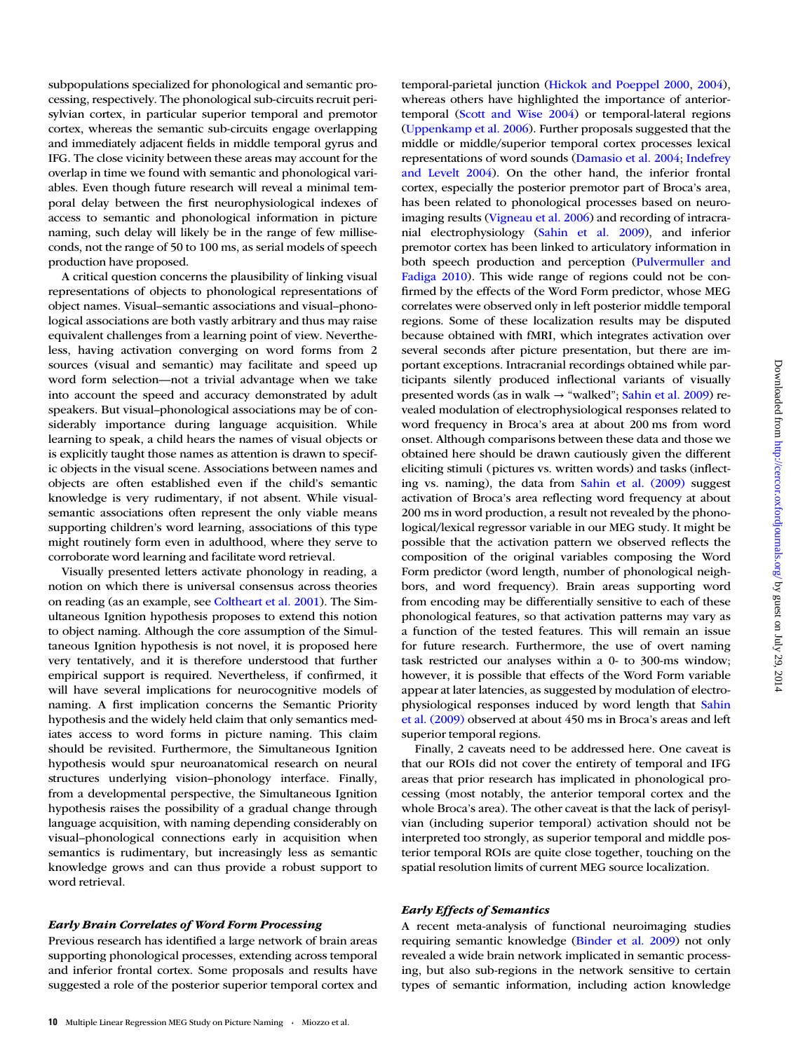subpopulations specialized for phonological and semantic processing, respectively. The phonological sub-circuits recruit perisylvian cortex, in particular superior temporal and premotor cortex, whereas the semantic sub-circuits engage overlapping and immediately adjacent fields in middle temporal gyrus and IFG. The close vicinity between these areas may account for the overlap in time we found with semantic and phonological variables. Even though future research will reveal a minimal temporal delay between the first neurophysiological indexes of access to semantic and phonological information in picture naming, such delay will likely be in the range of few milliseconds, not the range of 50 to 100 ms, as serial models of speech production have proposed.

A critical question concerns the plausibility of linking visual representations of objects to phonological representations of object names. Visual–semantic associations and visual–phonological associations are both vastly arbitrary and thus may raise equivalent challenges from a learning point of view. Nevertheless, having activation converging on word forms from 2 sources (visual and semantic) may facilitate and speed up word form selection—not a trivial advantage when we take into account the speed and accuracy demonstrated by adult speakers. But visual–phonological associations may be of considerably importance during language acquisition. While learning to speak, a child hears the names of visual objects or is explicitly taught those names as attention is drawn to specific objects in the visual scene. Associations between names and objects are often established even if the child's semantic knowledge is very rudimentary, if not absent. While visualsemantic associations often represent the only viable means supporting children's word learning, associations of this type might routinely form even in adulthood, where they serve to corroborate word learning and facilitate word retrieval.

Visually presented letters activate phonology in reading, a notion on which there is universal consensus across theories on reading (as an example, see [Coltheart et al. 2001\)](#page-10-0). The Simultaneous Ignition hypothesis proposes to extend this notion to object naming. Although the core assumption of the Simultaneous Ignition hypothesis is not novel, it is proposed here very tentatively, and it is therefore understood that further empirical support is required. Nevertheless, if confirmed, it will have several implications for neurocognitive models of naming. A first implication concerns the Semantic Priority hypothesis and the widely held claim that only semantics mediates access to word forms in picture naming. This claim should be revisited. Furthermore, the Simultaneous Ignition hypothesis would spur neuroanatomical research on neural structures underlying vision–phonology interface. Finally, from a developmental perspective, the Simultaneous Ignition hypothesis raises the possibility of a gradual change through language acquisition, with naming depending considerably on visual–phonological connections early in acquisition when semantics is rudimentary, but increasingly less as semantic knowledge grows and can thus provide a robust support to word retrieval.

### Early Brain Correlates of Word Form Processing

Previous research has identified a large network of brain areas supporting phonological processes, extending across temporal and inferior frontal cortex. Some proposals and results have suggested a role of the posterior superior temporal cortex and whereas others have highlighted the importance of anteriortemporal ([Scott and Wise 2004\)](#page-12-0) or temporal-lateral regions [\(Uppenkamp et al. 2006](#page-12-0)). Further proposals suggested that the middle or middle/superior temporal cortex processes lexical representations of word sounds ([Damasio et al. 2004](#page-11-0); [Indefrey](#page-11-0) [and Levelt 2004](#page-11-0)). On the other hand, the inferior frontal cortex, especially the posterior premotor part of Broca's area, has been related to phonological processes based on neuroimaging results [\(Vigneau et al. 2006\)](#page-12-0) and recording of intracranial electrophysiology ([Sahin et al. 2009\)](#page-12-0), and inferior premotor cortex has been linked to articulatory information in both speech production and perception ([Pulvermuller and](#page-11-0) [Fadiga 2010\)](#page-11-0). This wide range of regions could not be confirmed by the effects of the Word Form predictor, whose MEG correlates were observed only in left posterior middle temporal regions. Some of these localization results may be disputed because obtained with fMRI, which integrates activation over several seconds after picture presentation, but there are important exceptions. Intracranial recordings obtained while participants silently produced inflectional variants of visually presented words (as in walk  $\rightarrow$  "walked"; [Sahin et al. 2009\)](#page-12-0) revealed modulation of electrophysiological responses related to word frequency in Broca's area at about 200 ms from word onset. Although comparisons between these data and those we obtained here should be drawn cautiously given the different eliciting stimuli (pictures vs. written words) and tasks (inflecting vs. naming), the data from [Sahin et al. \(2009\)](#page-12-0) suggest activation of Broca's area reflecting word frequency at about 200 ms in word production, a result not revealed by the phonological/lexical regressor variable in our MEG study. It might be possible that the activation pattern we observed reflects the composition of the original variables composing the Word Form predictor (word length, number of phonological neighbors, and word frequency). Brain areas supporting word from encoding may be differentially sensitive to each of these phonological features, so that activation patterns may vary as a function of the tested features. This will remain an issue for future research. Furthermore, the use of overt naming task restricted our analyses within a 0- to 300-ms window; however, it is possible that effects of the Word Form variable appear at later latencies, as suggested by modulation of electrophysiological responses induced by word length that [Sahin](#page-12-0) [et al. \(2009\)](#page-12-0) observed at about 450 ms in Broca's areas and left superior temporal regions.

temporal-parietal junction [\(Hickok and Poeppel 2000](#page-11-0), [2004](#page-11-0)),

Finally, 2 caveats need to be addressed here. One caveat is that our ROIs did not cover the entirety of temporal and IFG areas that prior research has implicated in phonological processing (most notably, the anterior temporal cortex and the whole Broca's area). The other caveat is that the lack of perisylvian (including superior temporal) activation should not be interpreted too strongly, as superior temporal and middle posterior temporal ROIs are quite close together, touching on the spatial resolution limits of current MEG source localization.

## Early Effects of Semantics

A recent meta-analysis of functional neuroimaging studies requiring semantic knowledge ([Binder et al. 2009\)](#page-10-0) not only revealed a wide brain network implicated in semantic processing, but also sub-regions in the network sensitive to certain types of semantic information, including action knowledge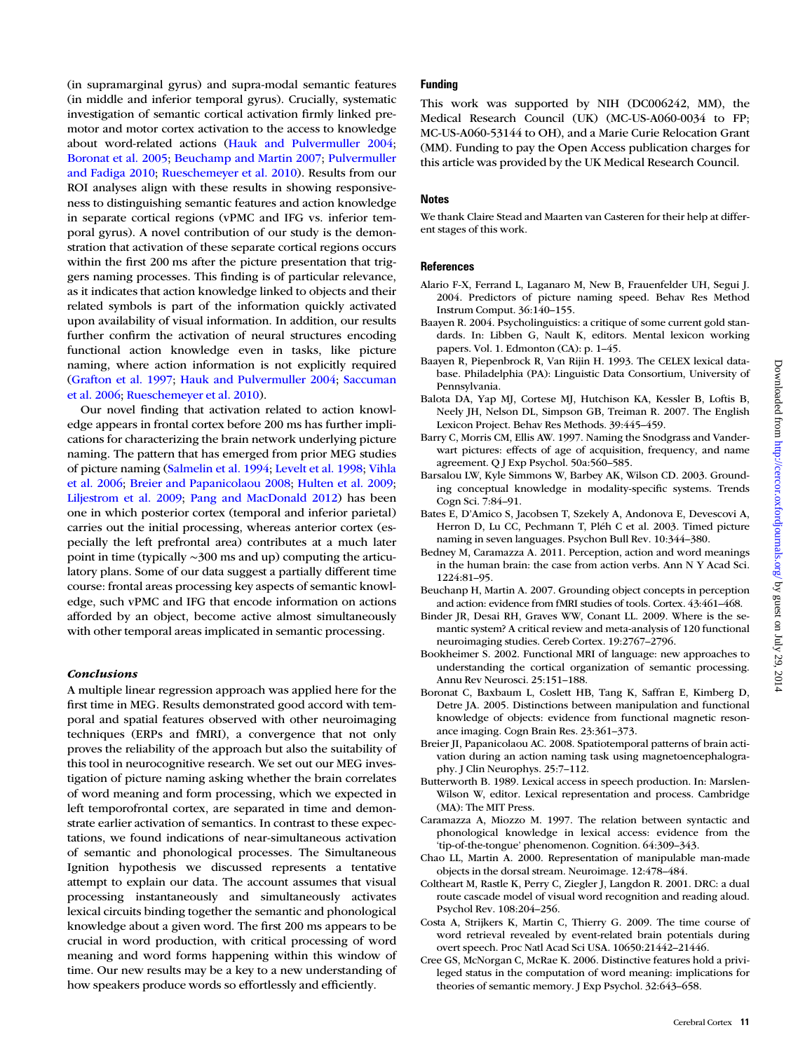<span id="page-10-0"></span>(in supramarginal gyrus) and supra-modal semantic features (in middle and inferior temporal gyrus). Crucially, systematic investigation of semantic cortical activation firmly linked premotor and motor cortex activation to the access to knowledge about word-related actions ([Hauk and Pulvermuller 2004;](#page-11-0) Boronat et al. 2005; Beuchamp and Martin 2007; [Pulvermuller](#page-11-0) [and Fadiga 2010](#page-11-0); [Rueschemeyer et al. 2010](#page-11-0)). Results from our ROI analyses align with these results in showing responsiveness to distinguishing semantic features and action knowledge in separate cortical regions (vPMC and IFG vs. inferior temporal gyrus). A novel contribution of our study is the demonstration that activation of these separate cortical regions occurs within the first 200 ms after the picture presentation that triggers naming processes. This finding is of particular relevance, as it indicates that action knowledge linked to objects and their related symbols is part of the information quickly activated upon availability of visual information. In addition, our results further confirm the activation of neural structures encoding functional action knowledge even in tasks, like picture naming, where action information is not explicitly required [\(Grafton et al. 1997;](#page-11-0) [Hauk and Pulvermuller 2004;](#page-11-0) [Saccuman](#page-11-0) [et al. 2006;](#page-11-0) [Rueschemeyer et al. 2010\)](#page-11-0).

Our novel finding that activation related to action knowledge appears in frontal cortex before 200 ms has further implications for characterizing the brain network underlying picture naming. The pattern that has emerged from prior MEG studies of picture naming ([Salmelin et al. 1994](#page-12-0); [Levelt et al. 1998](#page-11-0); [Vihla](#page-12-0) [et al. 2006](#page-12-0); Breier and Papanicolaou 2008; [Hulten et al. 2009;](#page-11-0) [Liljestrom et al. 2009](#page-11-0); [Pang and MacDonald 2012](#page-11-0)) has been one in which posterior cortex (temporal and inferior parietal) carries out the initial processing, whereas anterior cortex (especially the left prefrontal area) contributes at a much later point in time (typically ∼300 ms and up) computing the articulatory plans. Some of our data suggest a partially different time course: frontal areas processing key aspects of semantic knowledge, such vPMC and IFG that encode information on actions afforded by an object, become active almost simultaneously with other temporal areas implicated in semantic processing.

## Conclusions

A multiple linear regression approach was applied here for the first time in MEG. Results demonstrated good accord with temporal and spatial features observed with other neuroimaging techniques (ERPs and fMRI), a convergence that not only proves the reliability of the approach but also the suitability of this tool in neurocognitive research. We set out our MEG investigation of picture naming asking whether the brain correlates of word meaning and form processing, which we expected in left temporofrontal cortex, are separated in time and demonstrate earlier activation of semantics. In contrast to these expectations, we found indications of near-simultaneous activation of semantic and phonological processes. The Simultaneous Ignition hypothesis we discussed represents a tentative attempt to explain our data. The account assumes that visual processing instantaneously and simultaneously activates lexical circuits binding together the semantic and phonological knowledge about a given word. The first 200 ms appears to be crucial in word production, with critical processing of word meaning and word forms happening within this window of time. Our new results may be a key to a new understanding of how speakers produce words so effortlessly and efficiently.

### Funding

This work was supported by NIH (DC006242, MM), the Medical Research Council (UK) (MC-US-A060-0034 to FP; MC-US-A060-53144 to OH), and a Marie Curie Relocation Grant (MM). Funding to pay the Open Access publication charges for this article was provided by the UK Medical Research Council.

#### **Notes**

We thank Claire Stead and Maarten van Casteren for their help at different stages of this work.

#### **References**

- Alario F-X, Ferrand L, Laganaro M, New B, Frauenfelder UH, Segui J. 2004. Predictors of picture naming speed. Behav Res Method Instrum Comput. 36:140–155.
- Baayen R. 2004. Psycholinguistics: a critique of some current gold standards. In: Libben G, Nault K, editors. Mental lexicon working papers. Vol. 1. Edmonton (CA): p. 1–45.
- Baayen R, Piepenbrock R, Van Rijin H. 1993. The CELEX lexical database. Philadelphia (PA): Linguistic Data Consortium, University of Pennsylvania.
- Balota DA, Yap MJ, Cortese MJ, Hutchison KA, Kessler B, Loftis B, Neely JH, Nelson DL, Simpson GB, Treiman R. 2007. The English Lexicon Project. Behav Res Methods. 39:445–459.
- Barry C, Morris CM, Ellis AW. 1997. Naming the Snodgrass and Vanderwart pictures: effects of age of acquisition, frequency, and name agreement. Q J Exp Psychol. 50a:560–585.
- Barsalou LW, Kyle Simmons W, Barbey AK, Wilson CD. 2003. Grounding conceptual knowledge in modality-specific systems. Trends Cogn Sci. 7:84–91.
- Bates E, D'Amico S, Jacobsen T, Szekely A, Andonova E, Devescovi A, Herron D, Lu CC, Pechmann T, Pléh C et al. 2003. Timed picture naming in seven languages. Psychon Bull Rev. 10:344–380.
- Bedney M, Caramazza A. 2011. Perception, action and word meanings in the human brain: the case from action verbs. Ann N Y Acad Sci. 1224:81–95.
- Beuchanp H, Martin A. 2007. Grounding object concepts in perception and action: evidence from fMRI studies of tools. Cortex. 43:461–468.
- Binder JR, Desai RH, Graves WW, Conant LL. 2009. Where is the semantic system? A critical review and meta-analysis of 120 functional neuroimaging studies. Cereb Cortex. 19:2767–2796.
- Bookheimer S. 2002. Functional MRI of language: new approaches to understanding the cortical organization of semantic processing. Annu Rev Neurosci. 25:151–188.
- Boronat C, Baxbaum L, Coslett HB, Tang K, Saffran E, Kimberg D, Detre JA. 2005. Distinctions between manipulation and functional knowledge of objects: evidence from functional magnetic resonance imaging. Cogn Brain Res. 23:361–373.
- Breier JI, Papanicolaou AC. 2008. Spatiotemporal patterns of brain activation during an action naming task using magnetoencephalography. J Clin Neurophys. 25:7–112.
- Butterworth B. 1989. Lexical access in speech production. In: Marslen-Wilson W, editor. Lexical representation and process. Cambridge (MA): The MIT Press.
- Caramazza A, Miozzo M. 1997. The relation between syntactic and phonological knowledge in lexical access: evidence from the 'tip-of-the-tongue' phenomenon. Cognition. 64:309–343.
- Chao LL, Martin A. 2000. Representation of manipulable man-made objects in the dorsal stream. Neuroimage. 12:478–484.
- Coltheart M, Rastle K, Perry C, Ziegler J, Langdon R. 2001. DRC: a dual route cascade model of visual word recognition and reading aloud. Psychol Rev. 108:204–256.
- Costa A, Strijkers K, Martin C, Thierry G. 2009. The time course of word retrieval revealed by event-related brain potentials during overt speech. Proc Natl Acad Sci USA. 10650:21442–21446.
- Cree GS, McNorgan C, McRae K. 2006. Distinctive features hold a privileged status in the computation of word meaning: implications for theories of semantic memory. J Exp Psychol. 32:643–658.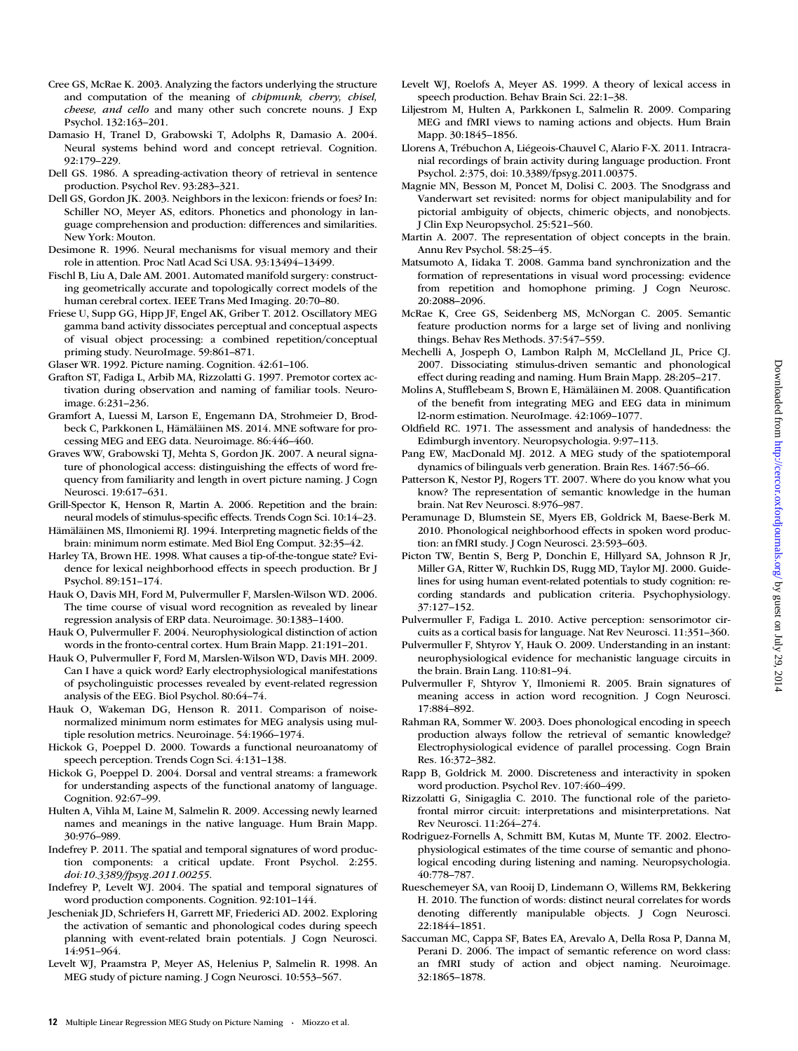- <span id="page-11-0"></span>Cree GS, McRae K. 2003. Analyzing the factors underlying the structure and computation of the meaning of chipmunk, cherry, chisel, cheese, and cello and many other such concrete nouns. J Exp Psychol. 132:163–201.
- Damasio H, Tranel D, Grabowski T, Adolphs R, Damasio A. 2004. Neural systems behind word and concept retrieval. Cognition. 92:179–229.
- Dell GS. 1986. A spreading-activation theory of retrieval in sentence production. Psychol Rev. 93:283–321.
- Dell GS, Gordon JK. 2003. Neighbors in the lexicon: friends or foes? In: Schiller NO, Meyer AS, editors. Phonetics and phonology in language comprehension and production: differences and similarities. New York: Mouton.
- Desimone R. 1996. Neural mechanisms for visual memory and their role in attention. Proc Natl Acad Sci USA. 93:13494–13499.
- Fischl B, Liu A, Dale AM. 2001. Automated manifold surgery: constructing geometrically accurate and topologically correct models of the human cerebral cortex. IEEE Trans Med Imaging. 20:70–80.
- Friese U, Supp GG, Hipp JF, Engel AK, Griber T. 2012. Oscillatory MEG gamma band activity dissociates perceptual and conceptual aspects of visual object processing: a combined repetition/conceptual priming study. NeuroImage. 59:861–871.
- Glaser WR. 1992. Picture naming. Cognition. 42:61–106.
- Grafton ST, Fadiga L, Arbib MA, Rizzolatti G. 1997. Premotor cortex activation during observation and naming of familiar tools. Neuroimage. 6:231–236.
- Gramfort A, Luessi M, Larson E, Engemann DA, Strohmeier D, Brodbeck C, Parkkonen L, Hämäläinen MS. 2014. MNE software for processing MEG and EEG data. Neuroimage. 86:446–460.
- Graves WW, Grabowski TJ, Mehta S, Gordon JK. 2007. A neural signature of phonological access: distinguishing the effects of word frequency from familiarity and length in overt picture naming. J Cogn Neurosci. 19:617–631.
- Grill-Spector K, Henson R, Martin A. 2006. Repetition and the brain: neural models of stimulus-specific effects. Trends Cogn Sci. 10:14–23.
- Hämäläinen MS, Ilmoniemi RJ. 1994. Interpreting magnetic fields of the brain: minimum norm estimate. Med Biol Eng Comput. 32:35–42.
- Harley TA, Brown HE. 1998. What causes a tip-of-the-tongue state? Evidence for lexical neighborhood effects in speech production. Br J Psychol. 89:151–174.
- Hauk O, Davis MH, Ford M, Pulvermuller F, Marslen-Wilson WD. 2006. The time course of visual word recognition as revealed by linear regression analysis of ERP data. Neuroimage. 30:1383–1400.
- Hauk O, Pulvermuller F. 2004. Neurophysiological distinction of action words in the fronto-central cortex. Hum Brain Mapp. 21:191–201.
- Hauk O, Pulvermuller F, Ford M, Marslen-Wilson WD, Davis MH. 2009. Can I have a quick word? Early electrophysiological manifestations of psycholinguistic processes revealed by event-related regression analysis of the EEG. Biol Psychol. 80:64–74.
- Hauk O, Wakeman DG, Henson R. 2011. Comparison of noisenormalized minimum norm estimates for MEG analysis using multiple resolution metrics. Neuroinage. 54:1966–1974.
- Hickok G, Poeppel D. 2000. Towards a functional neuroanatomy of speech perception. Trends Cogn Sci. 4:131–138.
- Hickok G, Poeppel D. 2004. Dorsal and ventral streams: a framework for understanding aspects of the functional anatomy of language. Cognition. 92:67–99.
- Hulten A, Vihla M, Laine M, Salmelin R. 2009. Accessing newly learned names and meanings in the native language. Hum Brain Mapp. 30:976–989.
- Indefrey P. 2011. The spatial and temporal signatures of word production components: a critical update. Front Psychol. 2:255. doi:10.3389/fpsyg.2011.00255.
- Indefrey P, Levelt WJ. 2004. The spatial and temporal signatures of word production components. Cognition. 92:101–144.
- Jescheniak JD, Schriefers H, Garrett MF, Friederici AD. 2002. Exploring the activation of semantic and phonological codes during speech planning with event-related brain potentials. J Cogn Neurosci. 14:951–964.
- Levelt WJ, Praamstra P, Meyer AS, Helenius P, Salmelin R. 1998. An MEG study of picture naming. J Cogn Neurosci. 10:553–567.
- Levelt WJ, Roelofs A, Meyer AS. 1999. A theory of lexical access in speech production. Behav Brain Sci. 22:1–38.
- Liljestrom M, Hulten A, Parkkonen L, Salmelin R. 2009. Comparing MEG and fMRI views to naming actions and objects. Hum Brain Mapp. 30:1845–1856.
- Llorens A, Trébuchon A, Liégeois-Chauvel C, Alario F-X. 2011. Intracranial recordings of brain activity during language production. Front Psychol. 2:375, doi: 10.3389/fpsyg.2011.00375.
- Magnie MN, Besson M, Poncet M, Dolisi C. 2003. The Snodgrass and Vanderwart set revisited: norms for object manipulability and for pictorial ambiguity of objects, chimeric objects, and nonobjects. J Clin Exp Neuropsychol. 25:521–560.
- Martin A. 2007. The representation of object concepts in the brain. Annu Rev Psychol. 58:25–45.
- Matsumoto A, Iidaka T. 2008. Gamma band synchronization and the formation of representations in visual word processing: evidence from repetition and homophone priming. J Cogn Neurosc. 20:2088–2096.
- McRae K, Cree GS, Seidenberg MS, McNorgan C. 2005. Semantic feature production norms for a large set of living and nonliving things. Behav Res Methods. 37:547–559.
- Mechelli A, Jospeph O, Lambon Ralph M, McClelland JL, Price CJ. 2007. Dissociating stimulus-driven semantic and phonological effect during reading and naming. Hum Brain Mapp. 28:205–217.
- Molins A, Stufflebeam S, Brown E, Hämäläinen M. 2008. Quantification of the benefit from integrating MEG and EEG data in minimum l2-norm estimation. NeuroImage. 42:1069–1077.
- Oldfield RC. 1971. The assessment and analysis of handedness: the Edimburgh inventory. Neuropsychologia. 9:97–113.
- Pang EW, MacDonald MJ. 2012. A MEG study of the spatiotemporal dynamics of bilinguals verb generation. Brain Res. 1467:56–66.
- Patterson K, Nestor PJ, Rogers TT. 2007. Where do you know what you know? The representation of semantic knowledge in the human brain. Nat Rev Neurosci. 8:976–987.
- Peramunage D, Blumstein SE, Myers EB, Goldrick M, Baese-Berk M. 2010. Phonological neighborhood effects in spoken word production: an fMRI study. J Cogn Neurosci. 23:593–603.
- Picton TW, Bentin S, Berg P, Donchin E, Hillyard SA, Johnson R Jr, Miller GA, Ritter W, Ruchkin DS, Rugg MD, Taylor MJ. 2000. Guidelines for using human event-related potentials to study cognition: recording standards and publication criteria. Psychophysiology. 37:127–152.
- Pulvermuller F, Fadiga L. 2010. Active perception: sensorimotor circuits as a cortical basis for language. Nat Rev Neurosci. 11:351–360.
- Pulvermuller F, Shtyrov Y, Hauk O. 2009. Understanding in an instant: neurophysiological evidence for mechanistic language circuits in the brain. Brain Lang. 110:81–94.
- Pulvermuller F, Shtyrov Y, Ilmoniemi R. 2005. Brain signatures of meaning access in action word recognition. J Cogn Neurosci. 17:884–892.
- Rahman RA, Sommer W. 2003. Does phonological encoding in speech production always follow the retrieval of semantic knowledge? Electrophysiological evidence of parallel processing. Cogn Brain Res. 16:372–382.
- Rapp B, Goldrick M. 2000. Discreteness and interactivity in spoken word production. Psychol Rev. 107:460–499.
- Rizzolatti G, Sinigaglia C. 2010. The functional role of the parietofrontal mirror circuit: interpretations and misinterpretations. Nat Rev Neurosci. 11:264–274.
- Rodriguez-Fornells A, Schmitt BM, Kutas M, Munte TF. 2002. Electrophysiological estimates of the time course of semantic and phonological encoding during listening and naming. Neuropsychologia. 40:778–787.
- Rueschemeyer SA, van Rooij D, Lindemann O, Willems RM, Bekkering H. 2010. The function of words: distinct neural correlates for words denoting differently manipulable objects. J Cogn Neurosci. 22:1844–1851.
- Saccuman MC, Cappa SF, Bates EA, Arevalo A, Della Rosa P, Danna M, Perani D. 2006. The impact of semantic reference on word class: an fMRI study of action and object naming. Neuroimage. 32:1865–1878.